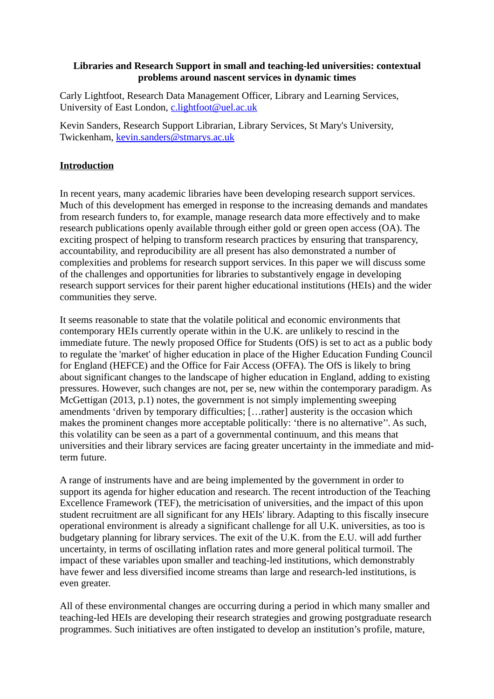## **Libraries and Research Support in small and teaching-led universities: contextual problems around nascent services in dynamic times**

Carly Lightfoot, Research Data Management Officer, Library and Learning Services, University of East London, [c.lightfoot@uel.ac.uk](mailto:c.lightfoot@uel.ac.uk)

Kevin Sanders, Research Support Librarian, Library Services, St Mary's University, Twickenham, [kevin.sanders@stmarys.ac.uk](mailto:kevin.sanders@stmarys.ac.uk)

# **Introduction**

In recent years, many academic libraries have been developing research support services. Much of this development has emerged in response to the increasing demands and mandates from research funders to, for example, manage research data more effectively and to make research publications openly available through either gold or green open access (OA). The exciting prospect of helping to transform research practices by ensuring that transparency, accountability, and reproducibility are all present has also demonstrated a number of complexities and problems for research support services. In this paper we will discuss some of the challenges and opportunities for libraries to substantively engage in developing research support services for their parent higher educational institutions (HEIs) and the wider communities they serve.

It seems reasonable to state that the volatile political and economic environments that contemporary HEIs currently operate within in the U.K. are unlikely to rescind in the immediate future. The newly proposed Office for Students (OfS) is set to act as a public body to regulate the 'market' of higher education in place of the Higher Education Funding Council for England (HEFCE) and the Office for Fair Access (OFFA). The OfS is likely to bring about significant changes to the landscape of higher education in England, adding to existing pressures. However, such changes are not, per se, new within the contemporary paradigm. As McGettigan (2013, p.1) notes, the government is not simply implementing sweeping amendments 'driven by temporary difficulties; […rather] austerity is the occasion which makes the prominent changes more acceptable politically: 'there is no alternative''. As such, this volatility can be seen as a part of a governmental continuum, and this means that universities and their library services are facing greater uncertainty in the immediate and midterm future.

A range of instruments have and are being implemented by the government in order to support its agenda for higher education and research. The recent introduction of the Teaching Excellence Framework (TEF), the metricisation of universities, and the impact of this upon student recruitment are all significant for any HEIs' library. Adapting to this fiscally insecure operational environment is already a significant challenge for all U.K. universities, as too is budgetary planning for library services. The exit of the U.K. from the E.U. will add further uncertainty, in terms of oscillating inflation rates and more general political turmoil. The impact of these variables upon smaller and teaching-led institutions, which demonstrably have fewer and less diversified income streams than large and research-led institutions, is even greater.

All of these environmental changes are occurring during a period in which many smaller and teaching-led HEIs are developing their research strategies and growing postgraduate research programmes. Such initiatives are often instigated to develop an institution's profile, mature,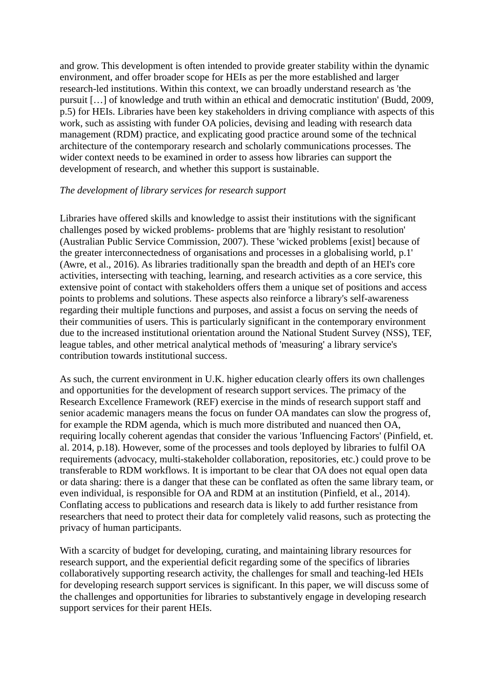and grow. This development is often intended to provide greater stability within the dynamic environment, and offer broader scope for HEIs as per the more established and larger research-led institutions. Within this context, we can broadly understand research as 'the pursuit […] of knowledge and truth within an ethical and democratic institution' (Budd, 2009, p.5) for HEIs. Libraries have been key stakeholders in driving compliance with aspects of this work, such as assisting with funder OA policies, devising and leading with research data management (RDM) practice, and explicating good practice around some of the technical architecture of the contemporary research and scholarly communications processes. The wider context needs to be examined in order to assess how libraries can support the development of research, and whether this support is sustainable.

### *The development of library services for research support*

Libraries have offered skills and knowledge to assist their institutions with the significant challenges posed by wicked problems- problems that are 'highly resistant to resolution' (Australian Public Service Commission, 2007). These 'wicked problems [exist] because of the greater interconnectedness of organisations and processes in a globalising world, p.1' (Awre, et al., 2016). As libraries traditionally span the breadth and depth of an HEI's core activities, intersecting with teaching, learning, and research activities as a core service, this extensive point of contact with stakeholders offers them a unique set of positions and access points to problems and solutions. These aspects also reinforce a library's self-awareness regarding their multiple functions and purposes, and assist a focus on serving the needs of their communities of users. This is particularly significant in the contemporary environment due to the increased institutional orientation around the National Student Survey (NSS), TEF, league tables, and other metrical analytical methods of 'measuring' a library service's contribution towards institutional success.

As such, the current environment in U.K. higher education clearly offers its own challenges and opportunities for the development of research support services. The primacy of the Research Excellence Framework (REF) exercise in the minds of research support staff and senior academic managers means the focus on funder OA mandates can slow the progress of, for example the RDM agenda, which is much more distributed and nuanced then OA, requiring locally coherent agendas that consider the various 'Influencing Factors' (Pinfield, et. al. 2014, p.18). However, some of the processes and tools deployed by libraries to fulfil OA requirements (advocacy, multi-stakeholder collaboration, repositories, etc.) could prove to be transferable to RDM workflows. It is important to be clear that OA does not equal open data or data sharing: there is a danger that these can be conflated as often the same library team, or even individual, is responsible for OA and RDM at an institution (Pinfield, et al., 2014). Conflating access to publications and research data is likely to add further resistance from researchers that need to protect their data for completely valid reasons, such as protecting the privacy of human participants.

With a scarcity of budget for developing, curating, and maintaining library resources for research support, and the experiential deficit regarding some of the specifics of libraries collaboratively supporting research activity, the challenges for small and teaching-led HEIs for developing research support services is significant. In this paper, we will discuss some of the challenges and opportunities for libraries to substantively engage in developing research support services for their parent HEIs.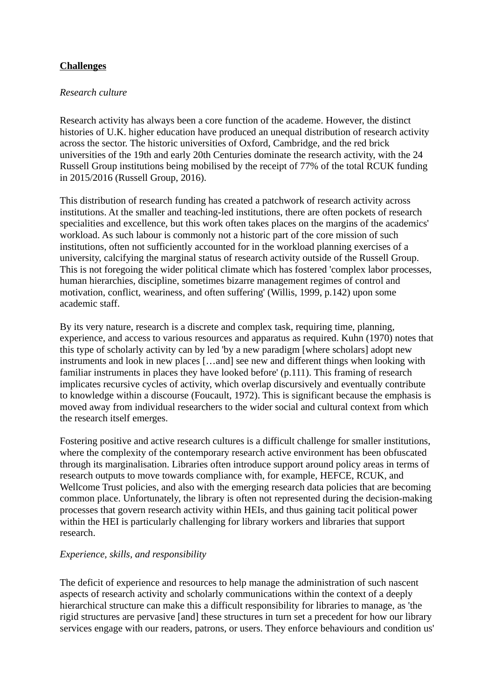# **Challenges**

### *Research culture*

Research activity has always been a core function of the academe. However, the distinct histories of U.K. higher education have produced an unequal distribution of research activity across the sector. The historic universities of Oxford, Cambridge, and the red brick universities of the 19th and early 20th Centuries dominate the research activity, with the 24 Russell Group institutions being mobilised by the receipt of 77% of the total RCUK funding in 2015/2016 (Russell Group, 2016).

This distribution of research funding has created a patchwork of research activity across institutions. At the smaller and teaching-led institutions, there are often pockets of research specialities and excellence, but this work often takes places on the margins of the academics' workload. As such labour is commonly not a historic part of the core mission of such institutions, often not sufficiently accounted for in the workload planning exercises of a university, calcifying the marginal status of research activity outside of the Russell Group. This is not foregoing the wider political climate which has fostered 'complex labor processes, human hierarchies, discipline, sometimes bizarre management regimes of control and motivation, conflict, weariness, and often suffering' (Willis, 1999, p.142) upon some academic staff.

By its very nature, research is a discrete and complex task, requiring time, planning, experience, and access to various resources and apparatus as required. Kuhn (1970) notes that this type of scholarly activity can by led 'by a new paradigm [where scholars] adopt new instruments and look in new places […and] see new and different things when looking with familiar instruments in places they have looked before' (p.111). This framing of research implicates recursive cycles of activity, which overlap discursively and eventually contribute to knowledge within a discourse (Foucault, 1972). This is significant because the emphasis is moved away from individual researchers to the wider social and cultural context from which the research itself emerges.

Fostering positive and active research cultures is a difficult challenge for smaller institutions, where the complexity of the contemporary research active environment has been obfuscated through its marginalisation. Libraries often introduce support around policy areas in terms of research outputs to move towards compliance with, for example, HEFCE, RCUK, and Wellcome Trust policies, and also with the emerging research data policies that are becoming common place. Unfortunately, the library is often not represented during the decision-making processes that govern research activity within HEIs, and thus gaining tacit political power within the HEI is particularly challenging for library workers and libraries that support research.

### *Experience, skills, and responsibility*

The deficit of experience and resources to help manage the administration of such nascent aspects of research activity and scholarly communications within the context of a deeply hierarchical structure can make this a difficult responsibility for libraries to manage, as 'the rigid structures are pervasive [and] these structures in turn set a precedent for how our library services engage with our readers, patrons, or users. They enforce behaviours and condition us'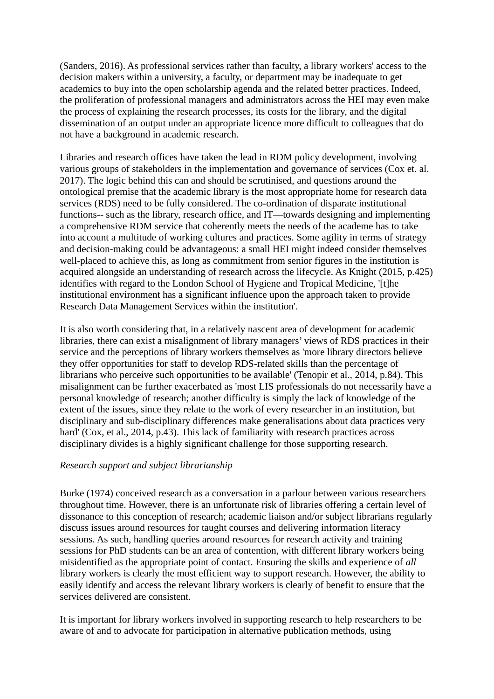(Sanders, 2016). As professional services rather than faculty, a library workers' access to the decision makers within a university, a faculty, or department may be inadequate to get academics to buy into the open scholarship agenda and the related better practices. Indeed, the proliferation of professional managers and administrators across the HEI may even make the process of explaining the research processes, its costs for the library, and the digital dissemination of an output under an appropriate licence more difficult to colleagues that do not have a background in academic research.

Libraries and research offices have taken the lead in RDM policy development, involving various groups of stakeholders in the implementation and governance of services (Cox et. al. 2017). The logic behind this can and should be scrutinised, and questions around the ontological premise that the academic library is the most appropriate home for research data services (RDS) need to be fully considered. The co-ordination of disparate institutional functions-- such as the library, research office, and IT—towards designing and implementing a comprehensive RDM service that coherently meets the needs of the academe has to take into account a multitude of working cultures and practices. Some agility in terms of strategy and decision-making could be advantageous: a small HEI might indeed consider themselves well-placed to achieve this, as long as commitment from senior figures in the institution is acquired alongside an understanding of research across the lifecycle. As Knight (2015, p.425) identifies with regard to the London School of Hygiene and Tropical Medicine, '[t]he institutional environment has a significant influence upon the approach taken to provide Research Data Management Services within the institution'.

It is also worth considering that, in a relatively nascent area of development for academic libraries, there can exist a misalignment of library managers' views of RDS practices in their service and the perceptions of library workers themselves as 'more library directors believe they offer opportunities for staff to develop RDS-related skills than the percentage of librarians who perceive such opportunities to be available' (Tenopir et al., 2014, p.84). This misalignment can be further exacerbated as 'most LIS professionals do not necessarily have a personal knowledge of research; another difficulty is simply the lack of knowledge of the extent of the issues, since they relate to the work of every researcher in an institution, but disciplinary and sub-disciplinary differences make generalisations about data practices very hard' (Cox, et al., 2014, p.43). This lack of familiarity with research practices across disciplinary divides is a highly significant challenge for those supporting research.

# *Research support and subject librarianship*

Burke (1974) conceived research as a conversation in a parlour between various researchers throughout time. However, there is an unfortunate risk of libraries offering a certain level of dissonance to this conception of research; academic liaison and/or subject librarians regularly discuss issues around resources for taught courses and delivering information literacy sessions. As such, handling queries around resources for research activity and training sessions for PhD students can be an area of contention, with different library workers being misidentified as the appropriate point of contact. Ensuring the skills and experience of *all*  library workers is clearly the most efficient way to support research. However, the ability to easily identify and access the relevant library workers is clearly of benefit to ensure that the services delivered are consistent.

It is important for library workers involved in supporting research to help researchers to be aware of and to advocate for participation in alternative publication methods, using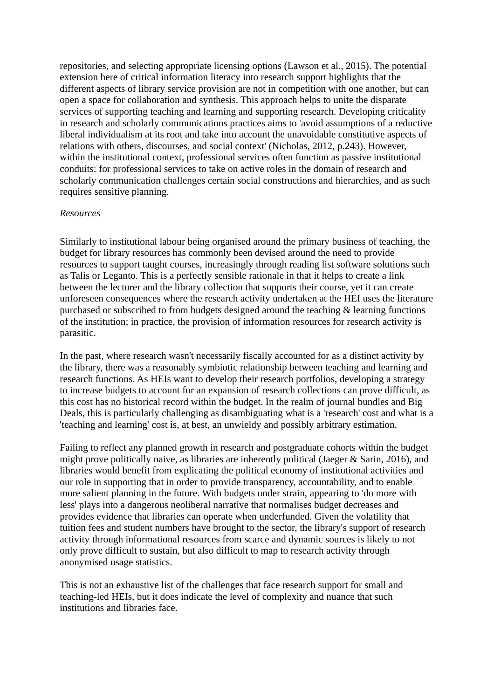repositories, and selecting appropriate licensing options (Lawson et al., 2015). The potential extension here of critical information literacy into research support highlights that the different aspects of library service provision are not in competition with one another, but can open a space for collaboration and synthesis. This approach helps to unite the disparate services of supporting teaching and learning and supporting research. Developing criticality in research and scholarly communications practices aims to 'avoid assumptions of a reductive liberal individualism at its root and take into account the unavoidable constitutive aspects of relations with others, discourses, and social context' (Nicholas, 2012, p.243). However, within the institutional context, professional services often function as passive institutional conduits: for professional services to take on active roles in the domain of research and scholarly communication challenges certain social constructions and hierarchies, and as such requires sensitive planning.

### *Resources*

Similarly to institutional labour being organised around the primary business of teaching, the budget for library resources has commonly been devised around the need to provide resources to support taught courses, increasingly through reading list software solutions such as Talis or Leganto. This is a perfectly sensible rationale in that it helps to create a link between the lecturer and the library collection that supports their course, yet it can create unforeseen consequences where the research activity undertaken at the HEI uses the literature purchased or subscribed to from budgets designed around the teaching & learning functions of the institution; in practice, the provision of information resources for research activity is parasitic.

In the past, where research wasn't necessarily fiscally accounted for as a distinct activity by the library, there was a reasonably symbiotic relationship between teaching and learning and research functions. As HEIs want to develop their research portfolios, developing a strategy to increase budgets to account for an expansion of research collections can prove difficult, as this cost has no historical record within the budget. In the realm of journal bundles and Big Deals, this is particularly challenging as disambiguating what is a 'research' cost and what is a 'teaching and learning' cost is, at best, an unwieldy and possibly arbitrary estimation.

Failing to reflect any planned growth in research and postgraduate cohorts within the budget might prove politically naive, as libraries are inherently political (Jaeger & Sarin, 2016), and libraries would benefit from explicating the political economy of institutional activities and our role in supporting that in order to provide transparency, accountability, and to enable more salient planning in the future. With budgets under strain, appearing to 'do more with less' plays into a dangerous neoliberal narrative that normalises budget decreases and provides evidence that libraries can operate when underfunded. Given the volatility that tuition fees and student numbers have brought to the sector, the library's support of research activity through informational resources from scarce and dynamic sources is likely to not only prove difficult to sustain, but also difficult to map to research activity through anonymised usage statistics.

This is not an exhaustive list of the challenges that face research support for small and teaching-led HEIs, but it does indicate the level of complexity and nuance that such institutions and libraries face.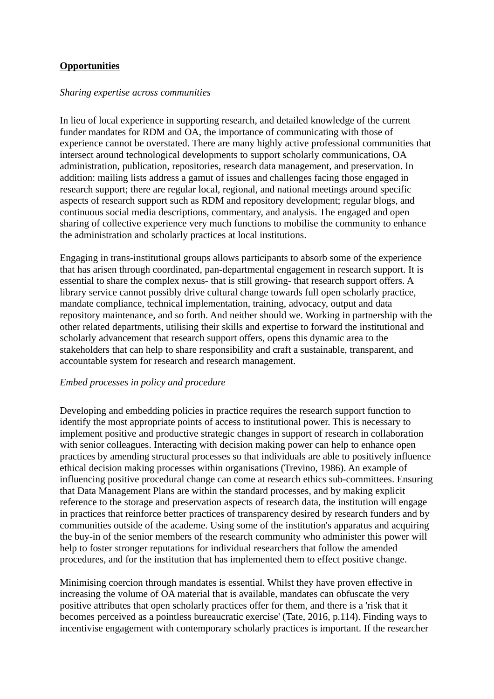# **Opportunities**

### *Sharing expertise across communities*

In lieu of local experience in supporting research, and detailed knowledge of the current funder mandates for RDM and OA, the importance of communicating with those of experience cannot be overstated. There are many highly active professional communities that intersect around technological developments to support scholarly communications, OA administration, publication, repositories, research data management, and preservation. In addition: mailing lists address a gamut of issues and challenges facing those engaged in research support; there are regular local, regional, and national meetings around specific aspects of research support such as RDM and repository development; regular blogs, and continuous social media descriptions, commentary, and analysis. The engaged and open sharing of collective experience very much functions to mobilise the community to enhance the administration and scholarly practices at local institutions.

Engaging in trans-institutional groups allows participants to absorb some of the experience that has arisen through coordinated, pan-departmental engagement in research support. It is essential to share the complex nexus- that is still growing- that research support offers. A library service cannot possibly drive cultural change towards full open scholarly practice, mandate compliance, technical implementation, training, advocacy, output and data repository maintenance, and so forth. And neither should we. Working in partnership with the other related departments, utilising their skills and expertise to forward the institutional and scholarly advancement that research support offers, opens this dynamic area to the stakeholders that can help to share responsibility and craft a sustainable, transparent, and accountable system for research and research management.

### *Embed processes in policy and procedure*

Developing and embedding policies in practice requires the research support function to identify the most appropriate points of access to institutional power. This is necessary to implement positive and productive strategic changes in support of research in collaboration with senior colleagues. Interacting with decision making power can help to enhance open practices by amending structural processes so that individuals are able to positively influence ethical decision making processes within organisations (Trevino, 1986). An example of influencing positive procedural change can come at research ethics sub-committees. Ensuring that Data Management Plans are within the standard processes, and by making explicit reference to the storage and preservation aspects of research data, the institution will engage in practices that reinforce better practices of transparency desired by research funders and by communities outside of the academe. Using some of the institution's apparatus and acquiring the buy-in of the senior members of the research community who administer this power will help to foster stronger reputations for individual researchers that follow the amended procedures, and for the institution that has implemented them to effect positive change.

Minimising coercion through mandates is essential. Whilst they have proven effective in increasing the volume of OA material that is available, mandates can obfuscate the very positive attributes that open scholarly practices offer for them, and there is a 'risk that it becomes perceived as a pointless bureaucratic exercise' (Tate, 2016, p.114). Finding ways to incentivise engagement with contemporary scholarly practices is important. If the researcher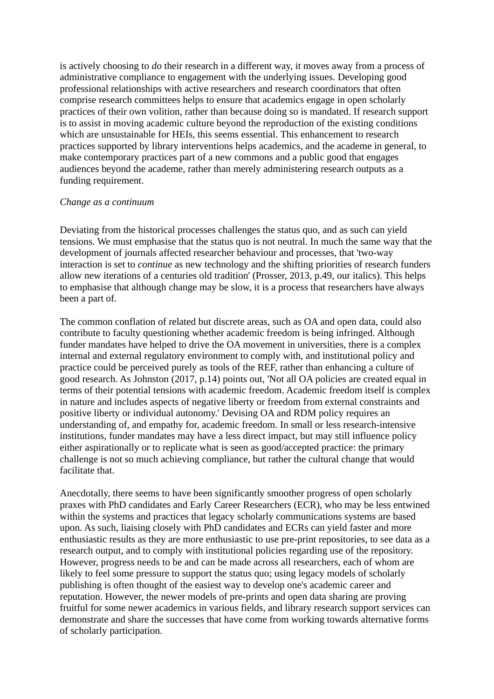is actively choosing to *do* their research in a different way, it moves away from a process of administrative compliance to engagement with the underlying issues. Developing good professional relationships with active researchers and research coordinators that often comprise research committees helps to ensure that academics engage in open scholarly practices of their own volition, rather than because doing so is mandated. If research support is to assist in moving academic culture beyond the reproduction of the existing conditions which are unsustainable for HEIs, this seems essential. This enhancement to research practices supported by library interventions helps academics, and the academe in general, to make contemporary practices part of a new commons and a public good that engages audiences beyond the academe, rather than merely administering research outputs as a funding requirement.

#### *Change as a continuum*

Deviating from the historical processes challenges the status quo, and as such can yield tensions. We must emphasise that the status quo is not neutral. In much the same way that the development of journals affected researcher behaviour and processes, that 'two-way interaction is set to *continue* as new technology and the shifting priorities of research funders allow new iterations of a centuries old tradition' (Prosser, 2013, p.49, our italics). This helps to emphasise that although change may be slow, it is a process that researchers have always been a part of.

The common conflation of related but discrete areas, such as OA and open data, could also contribute to faculty questioning whether academic freedom is being infringed. Although funder mandates have helped to drive the OA movement in universities, there is a complex internal and external regulatory environment to comply with, and institutional policy and practice could be perceived purely as tools of the REF, rather than enhancing a culture of good research. As Johnston (2017, p.14) points out, 'Not all OA policies are created equal in terms of their potential tensions with academic freedom. Academic freedom itself is complex in nature and includes aspects of negative liberty or freedom from external constraints and positive liberty or individual autonomy.' Devising OA and RDM policy requires an understanding of, and empathy for, academic freedom. In small or less research-intensive institutions, funder mandates may have a less direct impact, but may still influence policy either aspirationally or to replicate what is seen as good/accepted practice: the primary challenge is not so much achieving compliance, but rather the cultural change that would facilitate that.

Anecdotally, there seems to have been significantly smoother progress of open scholarly praxes with PhD candidates and Early Career Researchers (ECR), who may be less entwined within the systems and practices that legacy scholarly communications systems are based upon. As such, liaising closely with PhD candidates and ECRs can yield faster and more enthusiastic results as they are more enthusiastic to use pre-print repositories, to see data as a research output, and to comply with institutional policies regarding use of the repository. However, progress needs to be and can be made across all researchers, each of whom are likely to feel some pressure to support the status quo; using legacy models of scholarly publishing is often thought of the easiest way to develop one's academic career and reputation. However, the newer models of pre-prints and open data sharing are proving fruitful for some newer academics in various fields, and library research support services can demonstrate and share the successes that have come from working towards alternative forms of scholarly participation.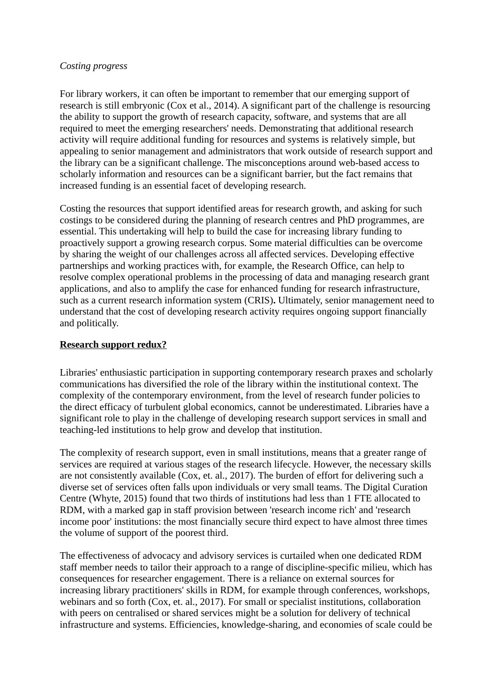### *Costing progress*

For library workers, it can often be important to remember that our emerging support of research is still embryonic (Cox et al., 2014). A significant part of the challenge is resourcing the ability to support the growth of research capacity, software, and systems that are all required to meet the emerging researchers' needs. Demonstrating that additional research activity will require additional funding for resources and systems is relatively simple, but appealing to senior management and administrators that work outside of research support and the library can be a significant challenge. The misconceptions around web-based access to scholarly information and resources can be a significant barrier, but the fact remains that increased funding is an essential facet of developing research.

Costing the resources that support identified areas for research growth, and asking for such costings to be considered during the planning of research centres and PhD programmes, are essential. This undertaking will help to build the case for increasing library funding to proactively support a growing research corpus. Some material difficulties can be overcome by sharing the weight of our challenges across all affected services. Developing effective partnerships and working practices with, for example, the Research Office, can help to resolve complex operational problems in the processing of data and managing research grant applications, and also to amplify the case for enhanced funding for research infrastructure, such as a current research information system (CRIS)**.** Ultimately, senior management need to understand that the cost of developing research activity requires ongoing support financially and politically.

# **Research support redux?**

Libraries' enthusiastic participation in supporting contemporary research praxes and scholarly communications has diversified the role of the library within the institutional context. The complexity of the contemporary environment, from the level of research funder policies to the direct efficacy of turbulent global economics, cannot be underestimated. Libraries have a significant role to play in the challenge of developing research support services in small and teaching-led institutions to help grow and develop that institution.

The complexity of research support, even in small institutions, means that a greater range of services are required at various stages of the research lifecycle. However, the necessary skills are not consistently available (Cox, et. al., 2017). The burden of effort for delivering such a diverse set of services often falls upon individuals or very small teams. The Digital Curation Centre (Whyte, 2015) found that two thirds of institutions had less than 1 FTE allocated to RDM, with a marked gap in staff provision between 'research income rich' and 'research income poor' institutions: the most financially secure third expect to have almost three times the volume of support of the poorest third.

The effectiveness of advocacy and advisory services is curtailed when one dedicated RDM staff member needs to tailor their approach to a range of discipline-specific milieu, which has consequences for researcher engagement. There is a reliance on external sources for increasing library practitioners' skills in RDM, for example through conferences, workshops, webinars and so forth (Cox, et. al., 2017). For small or specialist institutions, collaboration with peers on centralised or shared services might be a solution for delivery of technical infrastructure and systems. Efficiencies, knowledge-sharing, and economies of scale could be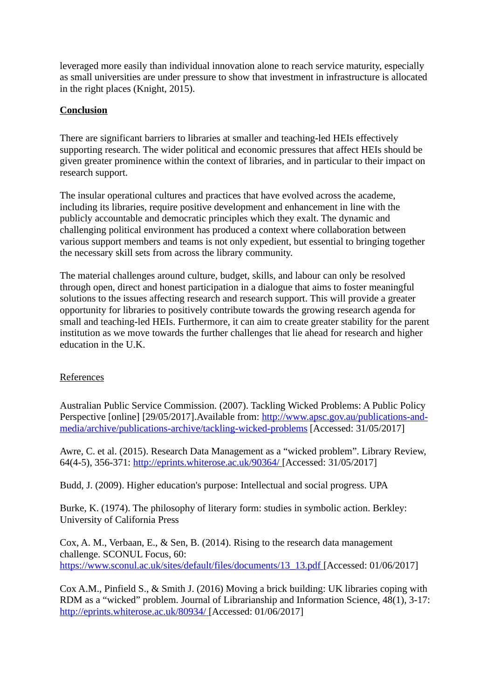leveraged more easily than individual innovation alone to reach service maturity, especially as small universities are under pressure to show that investment in infrastructure is allocated in the right places (Knight, 2015).

## **Conclusion**

There are significant barriers to libraries at smaller and teaching-led HEIs effectively supporting research. The wider political and economic pressures that affect HEIs should be given greater prominence within the context of libraries, and in particular to their impact on research support.

The insular operational cultures and practices that have evolved across the academe, including its libraries, require positive development and enhancement in line with the publicly accountable and democratic principles which they exalt. The dynamic and challenging political environment has produced a context where collaboration between various support members and teams is not only expedient, but essential to bringing together the necessary skill sets from across the library community.

The material challenges around culture, budget, skills, and labour can only be resolved through open, direct and honest participation in a dialogue that aims to foster meaningful solutions to the issues affecting research and research support. This will provide a greater opportunity for libraries to positively contribute towards the growing research agenda for small and teaching-led HEIs. Furthermore, it can aim to create greater stability for the parent institution as we move towards the further challenges that lie ahead for research and higher education in the U.K.

# References

Australian Public Service Commission. (2007). Tackling Wicked Problems: A Public Policy Perspective [online] [29/05/2017].Available from: [http://www.apsc.gov.au/publications-and](http://www.apsc.gov.au/publications-and-media/archive/publications-archive/tackling-wicked-problems)[media/archive/publications-archive/tackling-wicked-problems](http://www.apsc.gov.au/publications-and-media/archive/publications-archive/tackling-wicked-problems) [Accessed: 31/05/2017]

Awre, C. et al. (2015). Research Data Management as a "wicked problem". Library Review, 64(4-5), 356-371:<http://eprints.whiterose.ac.uk/90364/> [Accessed: 31/05/2017]

Budd, J. (2009). Higher education's purpose: Intellectual and social progress. UPA

Burke, K. (1974). The philosophy of literary form: studies in symbolic action. Berkley: University of California Press

Cox, A. M., Verbaan, E., & Sen, B. (2014). Rising to the research data management challenge. SCONUL Focus, 60: https://www.sconul.ac.uk/sites/default/files/documents/13\_13.pdf [Accessed: 01/06/2017]

Cox A.M., Pinfield S., & Smith J. (2016) Moving a brick building: UK libraries coping with RDM as a "wicked" problem. Journal of Librarianship and Information Science, 48(1), 3-17: <http://eprints.whiterose.ac.uk/80934/> [Accessed: 01/06/2017]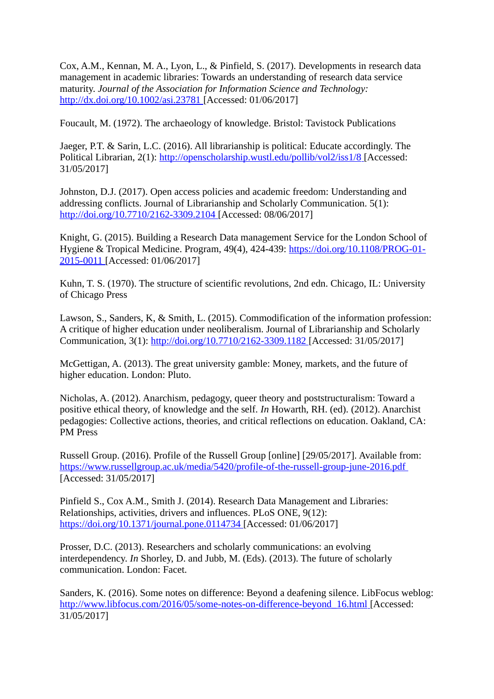Cox, A.M., Kennan, M. A., Lyon, L., & Pinfield, S. (2017). Developments in research data management in academic libraries: Towards an understanding of research data service maturity. *Journal of the Association for Information Science and Technology:*  <http://dx.doi.org/10.1002/asi.23781> [Accessed: 01/06/2017]

Foucault, M. (1972). The archaeology of knowledge. Bristol: Tavistock Publications

Jaeger, P.T. & Sarin, L.C. (2016). All librarianship is political: Educate accordingly. The Political Librarian, 2(1):<http://openscholarship.wustl.edu/pollib/vol2/iss1/8> [Accessed: 31/05/2017]

Johnston, D.J. (2017). Open access policies and academic freedom: Understanding and addressing conflicts. Journal of Librarianship and Scholarly Communication. 5(1): <http://doi.org/10.7710/2162-3309.2104> [Accessed: 08/06/2017]

Knight, G. (2015). Building a Research Data management Service for the London School of Hygiene & Tropical Medicine. Program, 49(4), 424-439: [https://doi.org/10.1108/PROG-01-](https://doi.org/10.1108/PROG-01-2015-0011)  [2015-0011](https://doi.org/10.1108/PROG-01-2015-0011) [Accessed: 01/06/2017]

Kuhn, T. S. (1970). The structure of scientific revolutions, 2nd edn. Chicago, IL: University of Chicago Press

Lawson, S., Sanders, K, & Smith, L. (2015). Commodification of the information profession: A critique of higher education under neoliberalism. Journal of Librarianship and Scholarly Communication, 3(1):<http://doi.org/10.7710/2162-3309.1182> [Accessed: 31/05/2017]

McGettigan, A. (2013). The great university gamble: Money, markets, and the future of higher education. London: Pluto.

Nicholas, A. (2012). Anarchism, pedagogy, queer theory and poststructuralism: Toward a positive ethical theory, of knowledge and the self. *In* Howarth, RH. (ed). (2012). Anarchist pedagogies: Collective actions, theories, and critical reflections on education. Oakland, CA: PM Press

Russell Group. (2016). Profile of the Russell Group [online] [29/05/2017]. Available from: <https://www.russellgroup.ac.uk/media/5420/profile-of-the-russell-group-june-2016.pdf> [Accessed: 31/05/2017]

Pinfield S., Cox A.M., Smith J. (2014). Research Data Management and Libraries: Relationships, activities, drivers and influences. PLoS ONE, 9(12): <https://doi.org/10.1371/journal.pone.0114734> [Accessed: 01/06/2017]

Prosser, D.C. (2013). Researchers and scholarly communications: an evolving interdependency. *In* Shorley, D. and Jubb, M. (Eds). (2013). The future of scholarly communication. London: Facet.

Sanders, K. (2016). Some notes on difference: Beyond a deafening silence. LibFocus weblog:  [http://www.libfocus.com/2016/05/some-notes-on-difference-beyond\\_16.html](http://www.libfocus.com/2016/05/some-notes-on-difference-beyond_16.html) [Accessed: 31/05/2017]